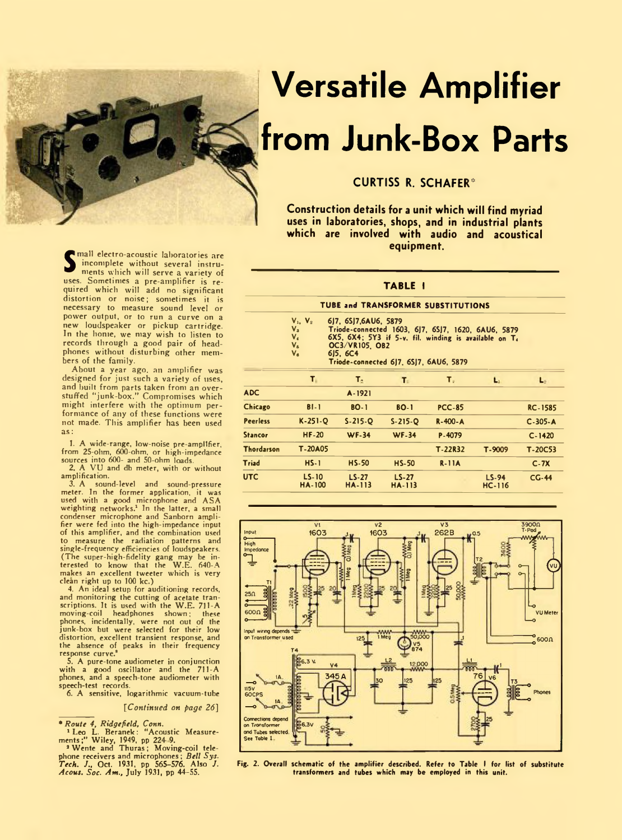

## **Versatile Amplifier from Junk-Box Parts**

## **CURTISS R. SCHAFER\***

**Construction details for a unit which will find myriad uses in laboratories, shops, and in industrial plants which are involved with audio and acoustical equipment.**

**TABLE I**

## **TUBE and TRANSFORMER SUBSTITUTIONS**

| $V_1, V_2$ |  |  | 6J7, 6SJ7, 6AU6, 5879 |
|------------|--|--|-----------------------|
|------------|--|--|-----------------------|

V<sub>a</sub> Triode-connected 1603, 6J7, 6SJ7, 1620, 6AU6, 587<br>V<sub>6</sub> 6X5, 6X4; 5Y3 if 5-v. fil. winding is available on T<br>V<sub>6</sub> **OC3/VR105, OB2** 

**V. 6)5, 6C4 Triode-connected 6J7, 6SJ7, 6AU6, 5879**

|                   | T.                       | T.                       | т.                      | T.            | Ы                   | Lo             |
|-------------------|--------------------------|--------------------------|-------------------------|---------------|---------------------|----------------|
| <b>ADC</b>        |                          | A-1921                   |                         |               |                     |                |
| Chicago           | $B1-1$                   | <b>BO-1</b>              | <b>BO-1</b>             | <b>PCC-85</b> |                     | <b>RC-1585</b> |
| <b>Peerless</b>   | $K-251-Q$                | $S-215-Q$                | $S-215-O$               | R-400-A       |                     | $C - 305 - A$  |
| <b>Stancor</b>    | <b>HF-20</b>             | <b>WF-34</b>             | <b>WF-34</b>            | P-4079        |                     | $C - 1420$     |
| <b>Thordarson</b> | T-20A05                  |                          |                         | T-22R32       | T-9009              | $T-20C53$      |
| Triad             | $HS-1$                   | <b>HS-50</b>             | $HS-50$                 | $R-11A$       |                     | $C-7X$         |
| <b>UTC</b>        | $LS-10$<br><b>HA-100</b> | $LS-27$<br><b>HA-113</b> | $LS - 27$<br>$HA - 113$ |               | $LS-94$<br>$HC-116$ | $CG-44$        |



**Fig. 2. Overall schematic of the amplifier described. Refer to Table I for list of substitute transformers and tubes which may be employed in this unit.**

**S**<br>
incomplete without several instru-<br>
ments which will serve a variety of<br>
quired which will add no significant mall electro-acoustic laboratories are incomplete without several instruments which will serve a variety of distortion or noise; sometimes it is necessary to measure sound level or power output, or to run a curve on a new loudspeaker or pickup cartridge. In the home, we may wish to listen to records through a good pair of headphones without disturbing other members of the family.

About a year ago. an amplifier was designed for just such a variety of uses, and built from parts taken from an over-stuffed "junk-box." Compromises which might interfere with the optimum performance of any of these functions were not made. This amplifier has been used as:

1. A wide-range, low-noise pre-amplifier, from 25-ohm, 600-ohm, or high-impedance sources into 600- and 50-ohm loads. 2. A VU and db meter, with or without

amplification.

3. A sound-level and sound-pressure meter. In the former application, it was used with a good microphone and ASA weighting networks.1 In the latter, a small condenser microphone and Sanborn amplifier were fed into the high-impedance input of this amplifier, and the combination used to measure the radiation patterns and single-frequency efficiencies of loudspeakers. (The super-high-fidelity gang may be in-terested to know that the W.E. 640-A makes an excellent tweeter which is very clean right up to 100 kc.)

4. An ideal setup for auditioning records, and monitoring the cutting of acetate transcriptions. It is used with the W.E. 711-A moving-coil headphones shown; these phones, incidentally, were not out of the junk-box but were selected for their low distortion, excellent transient response, and the absence of peaks in their frequency response curve.\*

5. A pure-tone audiometer in conjunction with a good oscillator and the 711-A phones, and a speech-tone audiometer with speech-test records.

6. A sensitive, logarithmic vacuum-tube

*[Continued on page 26]*

*\* Route 4, Ridgefield, Conn.* 1 Leo L. Beranek: "Acoustic Measure-ments;" Wiley, 1949, pp 224- 9. 2 Wente and Thuras; Moving-coil tele-

phone receivers and microphones; *Bell Sys. Tech. J"* Oct. 1931, pp 565-576. Also *J. Aeons. Soc. Ant.,* July 1931, pp 44-55.